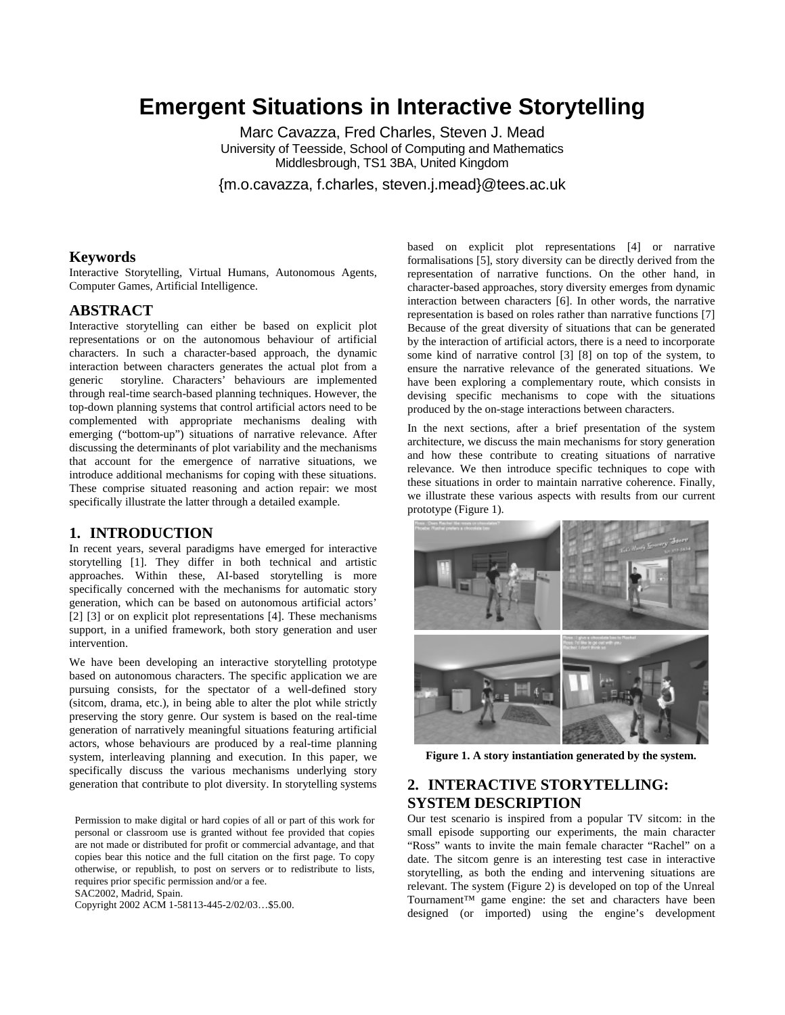# **Emergent Situations in Interactive Storytelling**

Marc Cavazza, Fred Charles, Steven J. Mead University of Teesside, School of Computing and Mathematics Middlesbrough, TS1 3BA, United Kingdom

{m.o.cavazza, f.charles, steven.j.mead}@tees.ac.uk

#### **Keywords**

Interactive Storytelling, Virtual Humans, Autonomous Agents, Computer Games, Artificial Intelligence.

### **ABSTRACT**

Interactive storytelling can either be based on explicit plot representations or on the autonomous behaviour of artificial characters. In such a character-based approach, the dynamic interaction between characters generates the actual plot from a generic storyline. Characters' behaviours are implemented through real-time search-based planning techniques. However, the top-down planning systems that control artificial actors need to be complemented with appropriate mechanisms dealing with emerging ("bottom-up") situations of narrative relevance. After discussing the determinants of plot variability and the mechanisms that account for the emergence of narrative situations, we introduce additional mechanisms for coping with these situations. These comprise situated reasoning and action repair: we most specifically illustrate the latter through a detailed example.

#### **1. INTRODUCTION**

In recent years, several paradigms have emerged for interactive storytelling [1]. They differ in both technical and artistic approaches. Within these, AI-based storytelling is more specifically concerned with the mechanisms for automatic story generation, which can be based on autonomous artificial actors' [2] [3] or on explicit plot representations [4]. These mechanisms support, in a unified framework, both story generation and user intervention.

We have been developing an interactive storytelling prototype based on autonomous characters. The specific application we are pursuing consists, for the spectator of a well-defined story (sitcom, drama, etc.), in being able to alter the plot while strictly preserving the story genre. Our system is based on the real-time generation of narratively meaningful situations featuring artificial actors, whose behaviours are produced by a real-time planning system, interleaving planning and execution. In this paper, we specifically discuss the various mechanisms underlying story generation that contribute to plot diversity. In storytelling systems

Permission to make digital or hard copies of all or part of this work for personal or classroom use is granted without fee provided that copies are not made or distributed for profit or commercial advantage, and that copies bear this notice and the full citation on the first page. To copy otherwise, or republish, to post on servers or to redistribute to lists, requires prior specific permission and/or a fee.

SAC2002, Madrid, Spain.

Copyright 2002 ACM 1-58113-445-2/02/03…\$5.00.

based on explicit plot representations [4] or narrative formalisations [5], story diversity can be directly derived from the representation of narrative functions. On the other hand, in character-based approaches, story diversity emerges from dynamic interaction between characters [6]. In other words, the narrative representation is based on roles rather than narrative functions [7] Because of the great diversity of situations that can be generated by the interaction of artificial actors, there is a need to incorporate some kind of narrative control [3] [8] on top of the system, to ensure the narrative relevance of the generated situations. We have been exploring a complementary route, which consists in devising specific mechanisms to cope with the situations produced by the on-stage interactions between characters.

In the next sections, after a brief presentation of the system architecture, we discuss the main mechanisms for story generation and how these contribute to creating situations of narrative relevance. We then introduce specific techniques to cope with these situations in order to maintain narrative coherence. Finally, we illustrate these various aspects with results from our current prototype (Figure 1).



**Figure 1. A story instantiation generated by the system.**

## **2. INTERACTIVE STORYTELLING: SYSTEM DESCRIPTION**

Our test scenario is inspired from a popular TV sitcom: in the small episode supporting our experiments, the main character "Ross" wants to invite the main female character "Rachel" on a date. The sitcom genre is an interesting test case in interactive storytelling, as both the ending and intervening situations are relevant. The system (Figure 2) is developed on top of the Unreal Tournament™ game engine: the set and characters have been designed (or imported) using the engine's development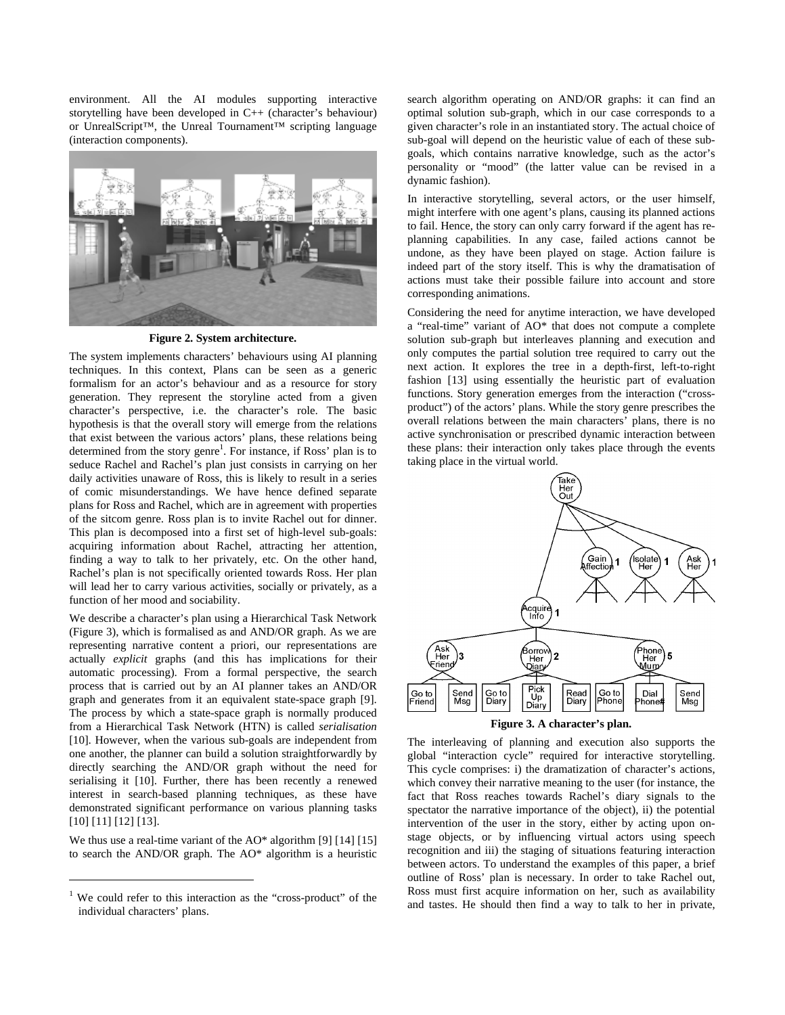environment. All the AI modules supporting interactive storytelling have been developed in C++ (character's behaviour) or UnrealScript™, the Unreal Tournament™ scripting language (interaction components).



**Figure 2. System architecture.**

The system implements characters' behaviours using AI planning techniques. In this context, Plans can be seen as a generic formalism for an actor's behaviour and as a resource for story generation. They represent the storyline acted from a given character's perspective, i.e. the character's role. The basic hypothesis is that the overall story will emerge from the relations that exist between the various actors' plans, these relations being determined from the story genre<sup>1</sup>. For instance, if Ross' plan is to seduce Rachel and Rachel's plan just consists in carrying on her daily activities unaware of Ross, this is likely to result in a series of comic misunderstandings. We have hence defined separate plans for Ross and Rachel, which are in agreement with properties of the sitcom genre. Ross plan is to invite Rachel out for dinner. This plan is decomposed into a first set of high-level sub-goals: acquiring information about Rachel, attracting her attention, finding a way to talk to her privately, etc. On the other hand, Rachel's plan is not specifically oriented towards Ross. Her plan will lead her to carry various activities, socially or privately, as a function of her mood and sociability.

We describe a character's plan using a Hierarchical Task Network (Figure 3), which is formalised as and AND/OR graph. As we are representing narrative content a priori, our representations are actually *explicit* graphs (and this has implications for their automatic processing). From a formal perspective, the search process that is carried out by an AI planner takes an AND/OR graph and generates from it an equivalent state-space graph [9]. The process by which a state-space graph is normally produced from a Hierarchical Task Network (HTN) is called *serialisation*  [10]. However, when the various sub-goals are independent from one another, the planner can build a solution straightforwardly by directly searching the AND/OR graph without the need for serialising it [10]. Further, there has been recently a renewed interest in search-based planning techniques, as these have demonstrated significant performance on various planning tasks [10] [11] [12] [13].

We thus use a real-time variant of the AO\* algorithm [9] [14] [15] to search the AND/OR graph. The AO\* algorithm is a heuristic

 $\overline{a}$ 

search algorithm operating on AND/OR graphs: it can find an optimal solution sub-graph, which in our case corresponds to a given character's role in an instantiated story. The actual choice of sub-goal will depend on the heuristic value of each of these subgoals, which contains narrative knowledge, such as the actor's personality or "mood" (the latter value can be revised in a dynamic fashion).

In interactive storytelling, several actors, or the user himself, might interfere with one agent's plans, causing its planned actions to fail. Hence, the story can only carry forward if the agent has replanning capabilities. In any case, failed actions cannot be undone, as they have been played on stage. Action failure is indeed part of the story itself. This is why the dramatisation of actions must take their possible failure into account and store corresponding animations.

Considering the need for anytime interaction, we have developed a "real-time" variant of AO\* that does not compute a complete solution sub-graph but interleaves planning and execution and only computes the partial solution tree required to carry out the next action. It explores the tree in a depth-first, left-to-right fashion [13] using essentially the heuristic part of evaluation functions. Story generation emerges from the interaction ("crossproduct") of the actors' plans. While the story genre prescribes the overall relations between the main characters' plans, there is no active synchronisation or prescribed dynamic interaction between these plans: their interaction only takes place through the events taking place in the virtual world.



**Figure 3. A character's plan.**

The interleaving of planning and execution also supports the global "interaction cycle" required for interactive storytelling. This cycle comprises: i) the dramatization of character's actions, which convey their narrative meaning to the user (for instance, the fact that Ross reaches towards Rachel's diary signals to the spectator the narrative importance of the object), ii) the potential intervention of the user in the story, either by acting upon onstage objects, or by influencing virtual actors using speech recognition and iii) the staging of situations featuring interaction between actors. To understand the examples of this paper, a brief outline of Ross' plan is necessary. In order to take Rachel out, Ross must first acquire information on her, such as availability and tastes. He should then find a way to talk to her in private,

<sup>1</sup> We could refer to this interaction as the "cross-product" of the individual characters' plans.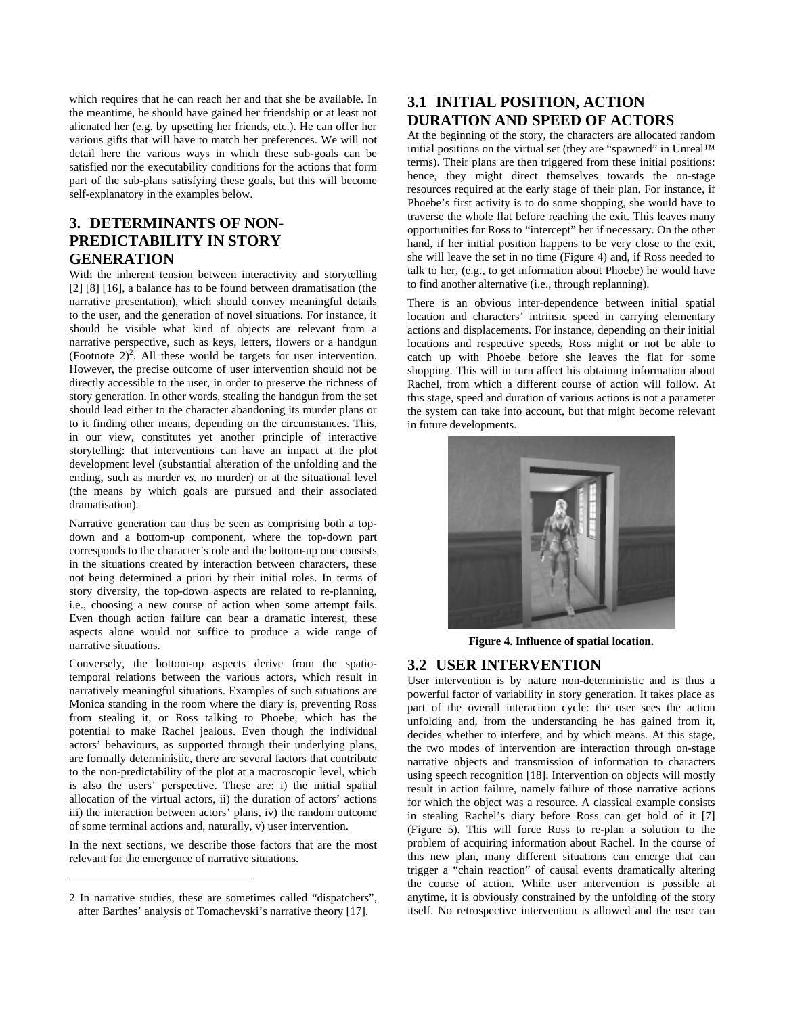which requires that he can reach her and that she be available. In the meantime, he should have gained her friendship or at least not alienated her (e.g. by upsetting her friends, etc.). He can offer her various gifts that will have to match her preferences. We will not detail here the various ways in which these sub-goals can be satisfied nor the executability conditions for the actions that form part of the sub-plans satisfying these goals, but this will become self-explanatory in the examples below.

# **3. DETERMINANTS OF NON-PREDICTABILITY IN STORY GENERATION**

With the inherent tension between interactivity and storytelling [2] [8] [16], a balance has to be found between dramatisation (the narrative presentation), which should convey meaningful details to the user, and the generation of novel situations. For instance, it should be visible what kind of objects are relevant from a narrative perspective, such as keys, letters, flowers or a handgun (Footnote  $2)^2$ . All these would be targets for user intervention. However, the precise outcome of user intervention should not be directly accessible to the user, in order to preserve the richness of story generation. In other words, stealing the handgun from the set should lead either to the character abandoning its murder plans or to it finding other means, depending on the circumstances. This, in our view, constitutes yet another principle of interactive storytelling: that interventions can have an impact at the plot development level (substantial alteration of the unfolding and the ending, such as murder *vs.* no murder) or at the situational level (the means by which goals are pursued and their associated dramatisation).

Narrative generation can thus be seen as comprising both a topdown and a bottom-up component, where the top-down part corresponds to the character's role and the bottom-up one consists in the situations created by interaction between characters, these not being determined a priori by their initial roles. In terms of story diversity, the top-down aspects are related to re-planning, i.e., choosing a new course of action when some attempt fails. Even though action failure can bear a dramatic interest, these aspects alone would not suffice to produce a wide range of narrative situations.

Conversely, the bottom-up aspects derive from the spatiotemporal relations between the various actors, which result in narratively meaningful situations. Examples of such situations are Monica standing in the room where the diary is, preventing Ross from stealing it, or Ross talking to Phoebe, which has the potential to make Rachel jealous. Even though the individual actors' behaviours, as supported through their underlying plans, are formally deterministic, there are several factors that contribute to the non-predictability of the plot at a macroscopic level, which is also the users' perspective. These are: i) the initial spatial allocation of the virtual actors, ii) the duration of actors' actions iii) the interaction between actors' plans, iv) the random outcome of some terminal actions and, naturally, v) user intervention.

In the next sections, we describe those factors that are the most relevant for the emergence of narrative situations.

1

# **3.1 INITIAL POSITION, ACTION DURATION AND SPEED OF ACTORS**

At the beginning of the story, the characters are allocated random initial positions on the virtual set (they are "spawned" in Unreal™ terms). Their plans are then triggered from these initial positions: hence, they might direct themselves towards the on-stage resources required at the early stage of their plan. For instance, if Phoebe's first activity is to do some shopping, she would have to traverse the whole flat before reaching the exit. This leaves many opportunities for Ross to "intercept" her if necessary. On the other hand, if her initial position happens to be very close to the exit, she will leave the set in no time (Figure 4) and, if Ross needed to talk to her, (e.g., to get information about Phoebe) he would have to find another alternative (i.e., through replanning).

There is an obvious inter-dependence between initial spatial location and characters' intrinsic speed in carrying elementary actions and displacements. For instance, depending on their initial locations and respective speeds, Ross might or not be able to catch up with Phoebe before she leaves the flat for some shopping. This will in turn affect his obtaining information about Rachel, from which a different course of action will follow. At this stage, speed and duration of various actions is not a parameter the system can take into account, but that might become relevant in future developments.



**Figure 4. Influence of spatial location.**

## **3.2 USER INTERVENTION**

User intervention is by nature non-deterministic and is thus a powerful factor of variability in story generation. It takes place as part of the overall interaction cycle: the user sees the action unfolding and, from the understanding he has gained from it, decides whether to interfere, and by which means. At this stage, the two modes of intervention are interaction through on-stage narrative objects and transmission of information to characters using speech recognition [18]. Intervention on objects will mostly result in action failure, namely failure of those narrative actions for which the object was a resource. A classical example consists in stealing Rachel's diary before Ross can get hold of it [7] (Figure 5). This will force Ross to re-plan a solution to the problem of acquiring information about Rachel. In the course of this new plan, many different situations can emerge that can trigger a "chain reaction" of causal events dramatically altering the course of action. While user intervention is possible at anytime, it is obviously constrained by the unfolding of the story itself. No retrospective intervention is allowed and the user can

<sup>2</sup> In narrative studies, these are sometimes called "dispatchers", after Barthes' analysis of Tomachevski's narrative theory [17].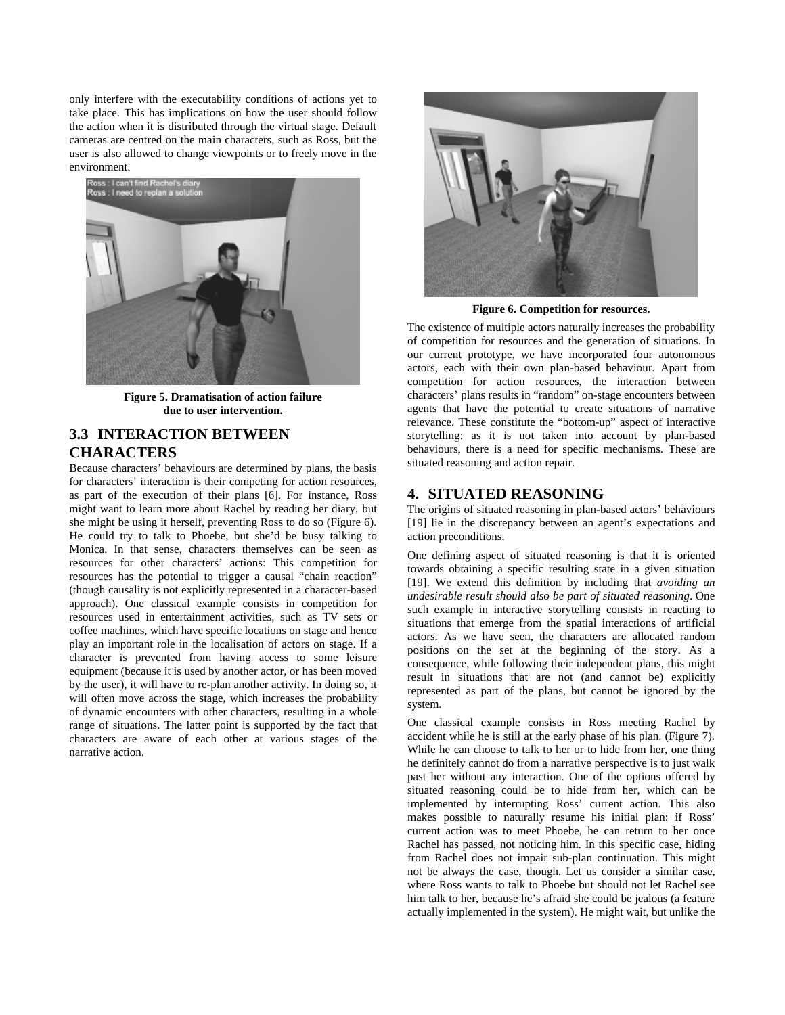only interfere with the executability conditions of actions yet to take place. This has implications on how the user should follow the action when it is distributed through the virtual stage. Default cameras are centred on the main characters, such as Ross, but the user is also allowed to change viewpoints or to freely move in the environment.



**Figure 5. Dramatisation of action failure due to user intervention.**

# **3.3 INTERACTION BETWEEN CHARACTERS**

Because characters' behaviours are determined by plans, the basis for characters' interaction is their competing for action resources, as part of the execution of their plans [6]. For instance, Ross might want to learn more about Rachel by reading her diary, but she might be using it herself, preventing Ross to do so (Figure 6). He could try to talk to Phoebe, but she'd be busy talking to Monica. In that sense, characters themselves can be seen as resources for other characters' actions: This competition for resources has the potential to trigger a causal "chain reaction" (though causality is not explicitly represented in a character-based approach). One classical example consists in competition for resources used in entertainment activities, such as TV sets or coffee machines, which have specific locations on stage and hence play an important role in the localisation of actors on stage. If a character is prevented from having access to some leisure equipment (because it is used by another actor, or has been moved by the user), it will have to re-plan another activity. In doing so, it will often move across the stage, which increases the probability of dynamic encounters with other characters, resulting in a whole range of situations. The latter point is supported by the fact that characters are aware of each other at various stages of the narrative action.



**Figure 6. Competition for resources.**

The existence of multiple actors naturally increases the probability of competition for resources and the generation of situations. In our current prototype, we have incorporated four autonomous actors, each with their own plan-based behaviour. Apart from competition for action resources, the interaction between characters' plans results in "random" on-stage encounters between agents that have the potential to create situations of narrative relevance. These constitute the "bottom-up" aspect of interactive storytelling: as it is not taken into account by plan-based behaviours, there is a need for specific mechanisms. These are situated reasoning and action repair.

## **4. SITUATED REASONING**

The origins of situated reasoning in plan-based actors' behaviours [19] lie in the discrepancy between an agent's expectations and action preconditions.

One defining aspect of situated reasoning is that it is oriented towards obtaining a specific resulting state in a given situation [19]. We extend this definition by including that *avoiding an undesirable result should also be part of situated reasoning*. One such example in interactive storytelling consists in reacting to situations that emerge from the spatial interactions of artificial actors. As we have seen, the characters are allocated random positions on the set at the beginning of the story. As a consequence, while following their independent plans, this might result in situations that are not (and cannot be) explicitly represented as part of the plans, but cannot be ignored by the system.

One classical example consists in Ross meeting Rachel by accident while he is still at the early phase of his plan. (Figure 7). While he can choose to talk to her or to hide from her, one thing he definitely cannot do from a narrative perspective is to just walk past her without any interaction. One of the options offered by situated reasoning could be to hide from her, which can be implemented by interrupting Ross' current action. This also makes possible to naturally resume his initial plan: if Ross' current action was to meet Phoebe, he can return to her once Rachel has passed, not noticing him. In this specific case, hiding from Rachel does not impair sub-plan continuation. This might not be always the case, though. Let us consider a similar case, where Ross wants to talk to Phoebe but should not let Rachel see him talk to her, because he's afraid she could be jealous (a feature actually implemented in the system). He might wait, but unlike the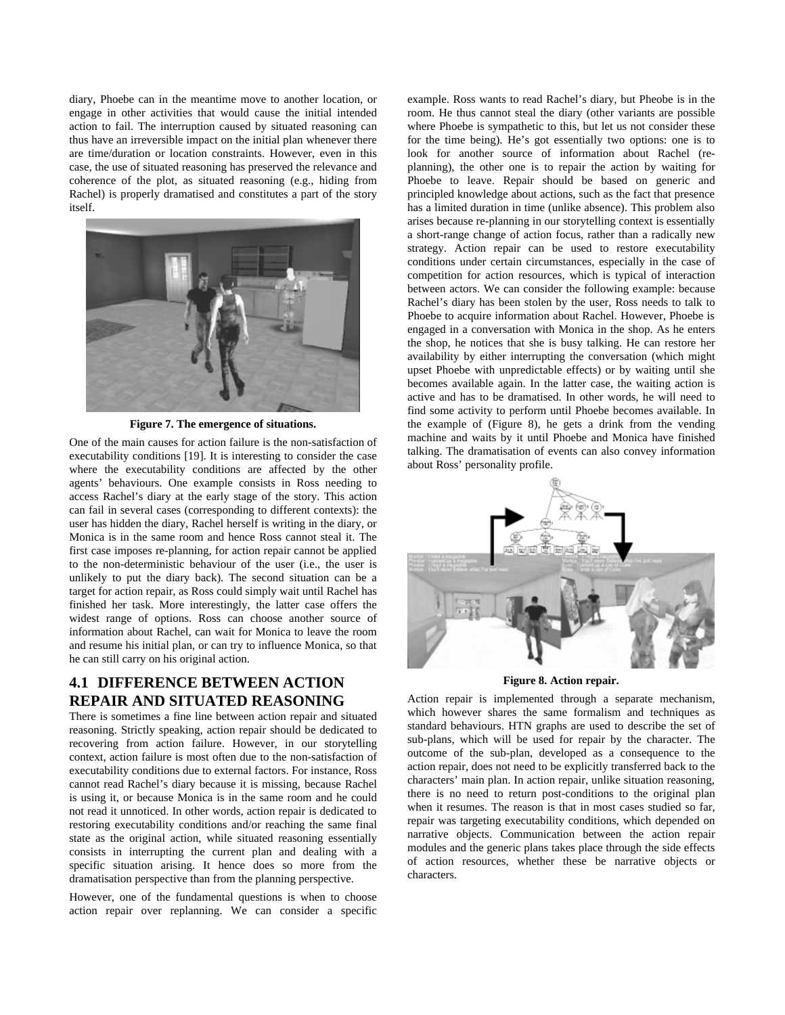diary, Phoebe can in the meantime move to another location, or engage in other activities that would cause the initial intended action to fail. The interruption caused by situated reasoning can thus have an irreversible impact on the initial plan whenever there are time/duration or location constraints. However, even in this case, the use of situated reasoning has preserved the relevance and coherence of the plot, as situated reasoning (e.g., hiding from Rachel) is properly dramatised and constitutes a part of the story itself.



**Figure 7. The emergence of situations.**

One of the main causes for action failure is the non-satisfaction of executability conditions [19]. It is interesting to consider the case where the executability conditions are affected by the other agents' behaviours. One example consists in Ross needing to access Rachel's diary at the early stage of the story. This action can fail in several cases (corresponding to different contexts): the user has hidden the diary, Rachel herself is writing in the diary, or Monica is in the same room and hence Ross cannot steal it. The first case imposes re-planning, for action repair cannot be applied to the non-deterministic behaviour of the user (i.e., the user is unlikely to put the diary back). The second situation can be a target for action repair, as Ross could simply wait until Rachel has finished her task. More interestingly, the latter case offers the widest range of options. Ross can choose another source of information about Rachel, can wait for Monica to leave the room and resume his initial plan, or can try to influence Monica, so that he can still carry on his original action.

# **4.1 DIFFERENCE BETWEEN ACTION REPAIR AND SITUATED REASONING**

There is sometimes a fine line between action repair and situated reasoning. Strictly speaking, action repair should be dedicated to recovering from action failure. However, in our storytelling context, action failure is most often due to the non-satisfaction of executability conditions due to external factors. For instance, Ross cannot read Rachel's diary because it is missing, because Rachel is using it, or because Monica is in the same room and he could not read it unnoticed. In other words, action repair is dedicated to restoring executability conditions and/or reaching the same final state as the original action, while situated reasoning essentially consists in interrupting the current plan and dealing with a specific situation arising. It hence does so more from the dramatisation perspective than from the planning perspective.

However, one of the fundamental questions is when to choose action repair over replanning. We can consider a specific

example. Ross wants to read Rachel's diary, but Pheobe is in the room. He thus cannot steal the diary (other variants are possible where Phoebe is sympathetic to this, but let us not consider these for the time being). He's got essentially two options: one is to look for another source of information about Rachel (replanning), the other one is to repair the action by waiting for Phoebe to leave. Repair should be based on generic and principled knowledge about actions, such as the fact that presence has a limited duration in time (unlike absence). This problem also arises because re-planning in our storytelling context is essentially a short-range change of action focus, rather than a radically new strategy. Action repair can be used to restore executability conditions under certain circumstances, especially in the case of competition for action resources, which is typical of interaction between actors. We can consider the following example: because Rachel's diary has been stolen by the user, Ross needs to talk to Phoebe to acquire information about Rachel. However, Phoebe is engaged in a conversation with Monica in the shop. As he enters the shop, he notices that she is busy talking. He can restore her availability by either interrupting the conversation (which might upset Phoebe with unpredictable effects) or by waiting until she becomes available again. In the latter case, the waiting action is active and has to be dramatised. In other words, he will need to find some activity to perform until Phoebe becomes available. In the example of (Figure 8), he gets a drink from the vending machine and waits by it until Phoebe and Monica have finished talking. The dramatisation of events can also convey information about Ross' personality profile.



**Figure 8. Action repair.**

Action repair is implemented through a separate mechanism, which however shares the same formalism and techniques as standard behaviours. HTN graphs are used to describe the set of sub-plans, which will be used for repair by the character. The outcome of the sub-plan, developed as a consequence to the action repair, does not need to be explicitly transferred back to the characters' main plan. In action repair, unlike situation reasoning, there is no need to return post-conditions to the original plan when it resumes. The reason is that in most cases studied so far, repair was targeting executability conditions, which depended on narrative objects. Communication between the action repair modules and the generic plans takes place through the side effects of action resources, whether these be narrative objects or characters.